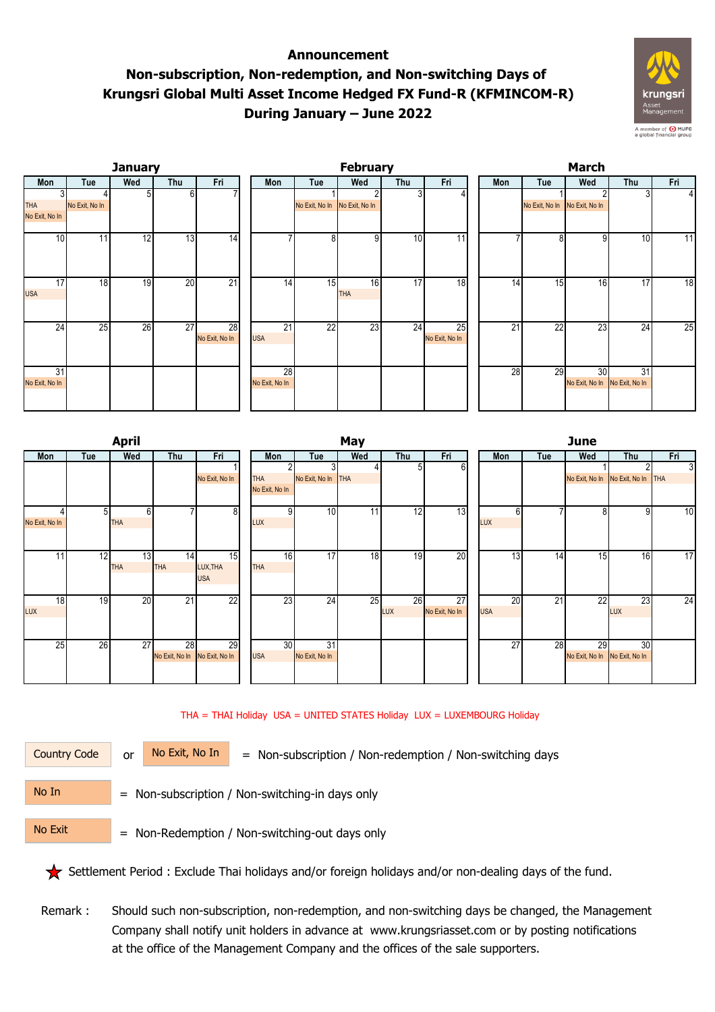## **During January – June 2022 Announcement Non-subscription, Non-redemption, and Non-switching Days of Krungsri Global Multi Asset Income Hedged FX Fund-R (KFMINCOM-R)**





|                  |     | <b>April</b>     |                                     |                              | May                          |                           |                  |                  |                      |  | <b>June</b>      |     |                                     |                |                 |  |
|------------------|-----|------------------|-------------------------------------|------------------------------|------------------------------|---------------------------|------------------|------------------|----------------------|--|------------------|-----|-------------------------------------|----------------|-----------------|--|
| Mon              | Tue | Wed              | Thu                                 | Fri                          | Mon                          | Tue                       | Wed              | Thu              | Fri                  |  | Mon              | Tue | Wed                                 | Thu            | Fri             |  |
|                  | 51  | 6                |                                     | No Exit, No In<br>8          | <b>THA</b><br>No Exit, No In | 3<br>No Exit, No In<br>10 | <b>THA</b><br>11 | 51<br>12         | 6 <sup>1</sup><br>13 |  | 61               |     | No Exit, No In No Exit, No In THA   | $\overline{9}$ | 3<br>10         |  |
| No Exit, No In   |     | <b>THA</b>       |                                     |                              | <b>LUX</b>                   |                           |                  |                  |                      |  | <b>LUX</b>       |     |                                     |                |                 |  |
| 11               | 12  | 13<br><b>THA</b> | 14<br><b>THA</b>                    | 15<br>LUX, THA<br><b>USA</b> | 16<br><b>THA</b>             | 17                        | 18               | 19               | 20                   |  | 13               | 14  | 15                                  | 16             | 17              |  |
| 18<br><b>LUX</b> | 19  | 20               | 21                                  | $\overline{22}$              | 23                           | 24                        | 25               | 26<br><b>LUX</b> | 27<br>No Exit, No In |  | 20<br><b>USA</b> | 21  | 22                                  | 23<br>LUX      | $\overline{24}$ |  |
| 25               | 26  | $\overline{27}$  | 28<br>No Exit, No In No Exit, No In | 29                           | 30<br><b>USA</b>             | 31<br>No Exit, No In      |                  |                  |                      |  | $\overline{27}$  | 28  | 29<br>No Exit, No In No Exit, No In | 30             |                 |  |

THA = THAI Holiday USA = UNITED STATES Holiday LUX = LUXEMBOURG Holiday

|  | Country Code or No Exit, No In | = Non-subscription / Non-redemption / Non-switching days |
|--|--------------------------------|----------------------------------------------------------|
|  |                                |                                                          |

- = Non-subscription / Non-switching-in days only No In
- = Non-Redemption / Non-switching-out days only No Exit

Settlement Period : Exclude Thai holidays and/or foreign holidays and/or non-dealing days of the fund.

 Remark : Should such non-subscription, non-redemption, and non-switching days be changed, the Management Company shall notify unit holders in advance at www.krungsriasset.com or by posting notifications at the office of the Management Company and the offices of the sale supporters.